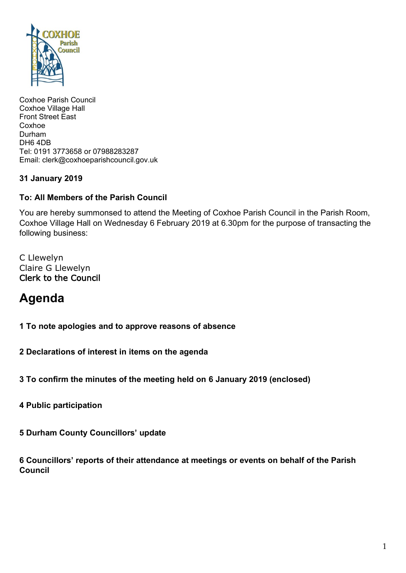

Coxhoe Parish Council Coxhoe Village Hall Front Street East Coxhoe Durham DH6 4DB Tel: 0191 3773658 or 07988283287 Email: clerk@coxhoeparishcouncil.gov.uk

# **31 January 2019**

### **To: All Members of the Parish Council**

You are hereby summonsed to attend the Meeting of Coxhoe Parish Council in the Parish Room, Coxhoe Village Hall on Wednesday 6 February 2019 at 6.30pm for the purpose of transacting the following business:

C Llewelyn Claire G Llewelyn Clerk to the Council

# **Agenda**

**1 To note apologies and to approve reasons of absence**

**2 Declarations of interest in items on the agenda**

**3 To confirm the minutes of the meeting held on 6 January 2019 (enclosed)**

**4 Public participation**

**5 Durham County Councillors' update**

**6 Councillors' reports of their attendance at meetings or events on behalf of the Parish Council**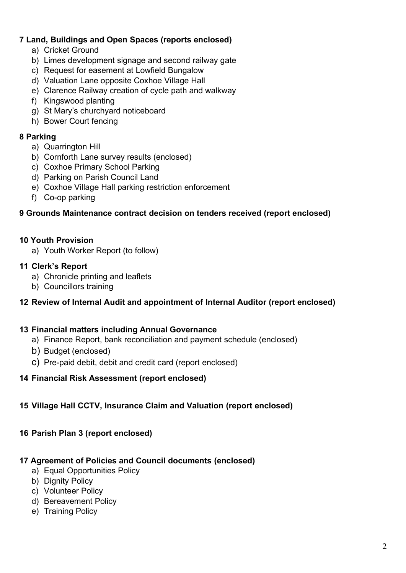# **7 Land, Buildings and Open Spaces (reports enclosed)**

- a) Cricket Ground
- b) Limes development signage and second railway gate
- c) Request for easement at Lowfield Bungalow
- d) Valuation Lane opposite Coxhoe Village Hall
- e) Clarence Railway creation of cycle path and walkway
- f) Kingswood planting
- g) St Mary's churchyard noticeboard
- h) Bower Court fencing

#### **8 Parking**

- a) Quarrington Hill
- b) Cornforth Lane survey results (enclosed)
- c) Coxhoe Primary School Parking
- d) Parking on Parish Council Land
- e) Coxhoe Village Hall parking restriction enforcement
- f) Co-op parking

#### **9 Grounds Maintenance contract decision on tenders received (report enclosed)**

#### **10 Youth Provision**

a) Youth Worker Report (to follow)

#### **11 Clerk's Report**

- a) Chronicle printing and leaflets
- b) Councillors training

#### **12 Review of Internal Audit and appointment of Internal Auditor (report enclosed)**

#### **13 Financial matters including Annual Governance**

- a) Finance Report, bank reconciliation and payment schedule (enclosed)
- b) Budget (enclosed)
- c) Pre-paid debit, debit and credit card (report enclosed)

#### **14 Financial Risk Assessment (report enclosed)**

#### **15 Village Hall CCTV, Insurance Claim and Valuation (report enclosed)**

#### **16 Parish Plan 3 (report enclosed)**

# **17 Agreement of Policies and Council documents (enclosed)**

- a) Equal Opportunities Policy
- b) Dignity Policy
- c) Volunteer Policy
- d) Bereavement Policy
- e) Training Policy